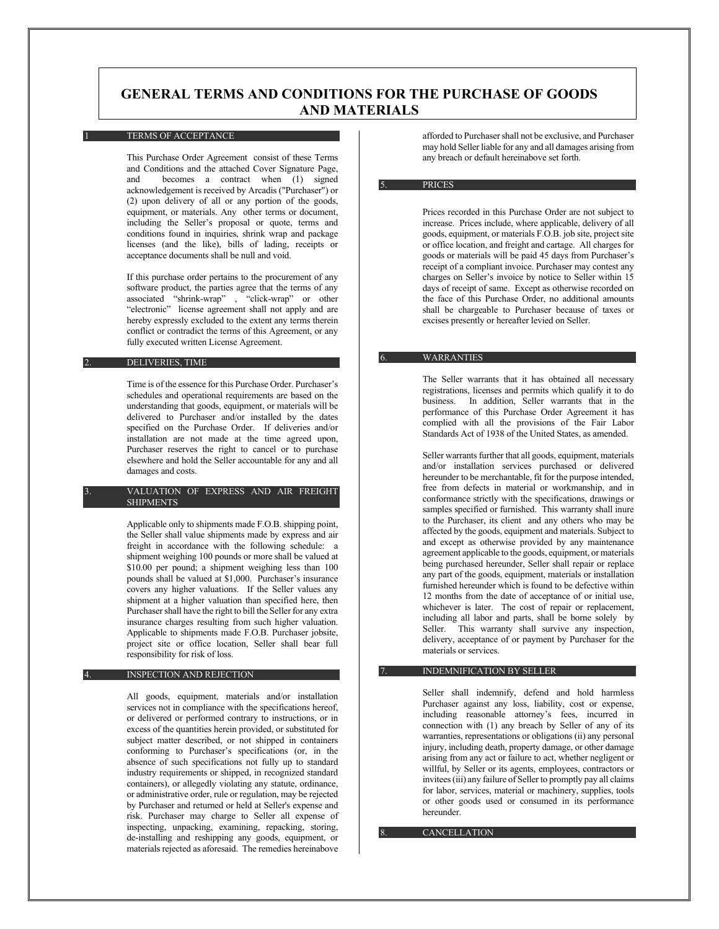# **GENERAL TERMS AND CONDITIONS FOR THE PURCHASE OF GOODS AND MATERIALS**

### TERMS OF ACCEPTANCE

This Purchase Order Agreement consist of these Terms and Conditions and the attached Cover Signature Page, becomes a contract when  $(1)$  signed acknowledgement is received by Arcadis ("Purchaser") or (2) upon delivery of all or any portion of the goods, equipment, or materials. Any other terms or document, including the Seller's proposal or quote, terms and conditions found in inquiries, shrink wrap and package licenses (and the like), bills of lading, receipts or acceptance documents shall be null and void.

If this purchase order pertains to the procurement of any software product, the parties agree that the terms of any associated "shrink-wrap" , "click-wrap" or other "electronic" license agreement shall not apply and are hereby expressly excluded to the extent any terms therein conflict or contradict the terms of this Agreement, or any fully executed written License Agreement.

### DELIVERIES, TIME

Time is of the essence for this Purchase Order. Purchaser's schedules and operational requirements are based on the understanding that goods, equipment, or materials will be delivered to Purchaser and/or installed by the dates specified on the Purchase Order. If deliveries and/or installation are not made at the time agreed upon, Purchaser reserves the right to cancel or to purchase elsewhere and hold the Seller accountable for any and all damages and costs.

### 3. VALUATION OF EXPRESS AND AIR FREIGHT **SHIPMENTS**

Applicable only to shipments made F.O.B. shipping point, the Seller shall value shipments made by express and air freight in accordance with the following schedule: a shipment weighing 100 pounds or more shall be valued at \$10.00 per pound; a shipment weighing less than 100 pounds shall be valued at \$1,000. Purchaser's insurance covers any higher valuations. If the Seller values any shipment at a higher valuation than specified here, then Purchaser shall have the right to bill the Seller for any extra insurance charges resulting from such higher valuation. Applicable to shipments made F.O.B. Purchaser jobsite, project site or office location, Seller shall bear full responsibility for risk of loss.

### INSPECTION AND REJECTION

All goods, equipment, materials and/or installation services not in compliance with the specifications hereof, or delivered or performed contrary to instructions, or in excess of the quantities herein provided, or substituted for subject matter described, or not shipped in containers conforming to Purchaser's specifications (or, in the absence of such specifications not fully up to standard industry requirements or shipped, in recognized standard containers), or allegedly violating any statute, ordinance, or administrative order, rule or regulation, may be rejected by Purchaser and returned or held at Seller's expense and risk. Purchaser may charge to Seller all expense of inspecting, unpacking, examining, repacking, storing, de-installing and reshipping any goods, equipment, or materials rejected as aforesaid. The remedies hereinabove

afforded to Purchaser shall not be exclusive, and Purchaser may hold Seller liable for any and all damages arising from any breach or default hereinabove set forth.

### **PRICES**

Prices recorded in this Purchase Order are not subject to increase. Prices include, where applicable, delivery of all goods, equipment, or materials F.O.B. job site, project site or office location, and freight and cartage. All charges for goods or materials will be paid 45 days from Purchaser's receipt of a compliant invoice. Purchaser may contest any charges on Seller's invoice by notice to Seller within 15 days of receipt of same. Except as otherwise recorded on the face of this Purchase Order, no additional amounts shall be chargeable to Purchaser because of taxes or excises presently or hereafter levied on Seller.

## **WARRANTIES**

The Seller warrants that it has obtained all necessary registrations, licenses and permits which qualify it to do business. In addition, Seller warrants that in the performance of this Purchase Order Agreement it has complied with all the provisions of the Fair Labor Standards Act of 1938 of the United States, as amended.

Seller warrants further that all goods, equipment, materials and/or installation services purchased or delivered hereunder to be merchantable, fit for the purpose intended, free from defects in material or workmanship, and in conformance strictly with the specifications, drawings or samples specified or furnished. This warranty shall inure to the Purchaser, its client and any others who may be affected by the goods, equipment and materials. Subject to and except as otherwise provided by any maintenance agreement applicable to the goods, equipment, or materials being purchased hereunder, Seller shall repair or replace any part of the goods, equipment, materials or installation furnished hereunder which is found to be defective within 12 months from the date of acceptance of or initial use, whichever is later. The cost of repair or replacement, including all labor and parts, shall be borne solely by Seller. This warranty shall survive any inspection, delivery, acceptance of or payment by Purchaser for the materials or services.

### 7. INDEMNIFICATION BY SELLER

Seller shall indemnify, defend and hold harmless Purchaser against any loss, liability, cost or expense, including reasonable attorney's fees, incurred in connection with (1) any breach by Seller of any of its warranties, representations or obligations (ii) any personal injury, including death, property damage, or other damage arising from any act or failure to act, whether negligent or willful, by Seller or its agents, employees, contractors or invitees (iii) any failure of Seller to promptly pay all claims for labor, services, material or machinery, supplies, tools or other goods used or consumed in its performance hereunder.

**CANCELLATION**